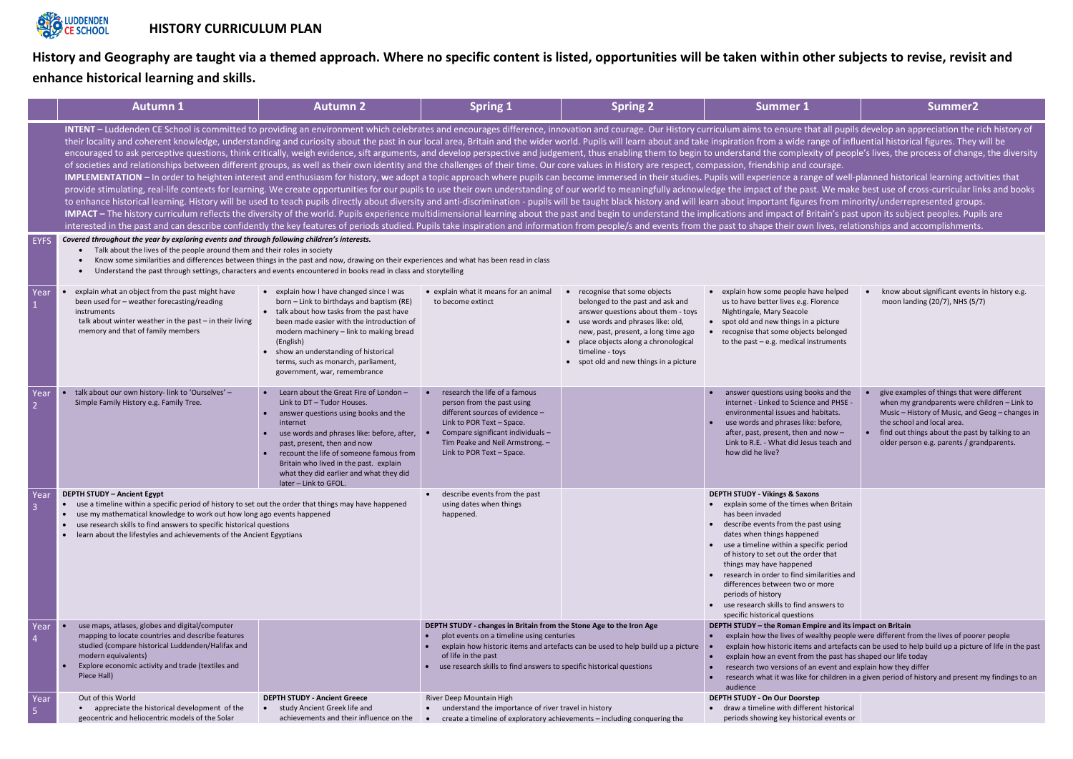**History and Geography are taught via a themed approach. Where no specific content is listed, opportunities will be taken within other subjects to revise, revisit and enhance historical learning and skills.** 

|                        | <b>Autumn 1</b>                                                                                                                                                                                                                                                                                                                                                                                                                                                                                                                                                                                                                                                                                                                                                                                                                                                                                                                                                                                                                                                                                                                                                                                                                                                                                                                                                                                                                                                                                                                                                                                                                                                                                                                                                                                                                                                                                                                                                                                                                                                                      | <b>Autumn 2</b>                                                                                                                                                                                                                                                                                                                                                             | <b>Spring 1</b>                                                                                                                                                                                                                                                                                    | <b>Spring 2</b>                                                                                                                                                                                                                                                                      | <b>Summer 1</b>                                                                                                                                                                                                                                                                                                                                                                                                                                                                                                                                    | Summer <sub>2</sub>                                                                                                                                                                                                                                                          |  |
|------------------------|--------------------------------------------------------------------------------------------------------------------------------------------------------------------------------------------------------------------------------------------------------------------------------------------------------------------------------------------------------------------------------------------------------------------------------------------------------------------------------------------------------------------------------------------------------------------------------------------------------------------------------------------------------------------------------------------------------------------------------------------------------------------------------------------------------------------------------------------------------------------------------------------------------------------------------------------------------------------------------------------------------------------------------------------------------------------------------------------------------------------------------------------------------------------------------------------------------------------------------------------------------------------------------------------------------------------------------------------------------------------------------------------------------------------------------------------------------------------------------------------------------------------------------------------------------------------------------------------------------------------------------------------------------------------------------------------------------------------------------------------------------------------------------------------------------------------------------------------------------------------------------------------------------------------------------------------------------------------------------------------------------------------------------------------------------------------------------------|-----------------------------------------------------------------------------------------------------------------------------------------------------------------------------------------------------------------------------------------------------------------------------------------------------------------------------------------------------------------------------|----------------------------------------------------------------------------------------------------------------------------------------------------------------------------------------------------------------------------------------------------------------------------------------------------|--------------------------------------------------------------------------------------------------------------------------------------------------------------------------------------------------------------------------------------------------------------------------------------|----------------------------------------------------------------------------------------------------------------------------------------------------------------------------------------------------------------------------------------------------------------------------------------------------------------------------------------------------------------------------------------------------------------------------------------------------------------------------------------------------------------------------------------------------|------------------------------------------------------------------------------------------------------------------------------------------------------------------------------------------------------------------------------------------------------------------------------|--|
|                        | INTENT - Luddenden CE School is committed to providing an environment which celebrates and encourages difference, innovation and courage. Our History curriculum aims to ensure that all pupils develop an appreciation the ri<br>their locality and coherent knowledge, understanding and curiosity about the past in our local area, Britain and the wider world. Pupils will learn about and take inspiration from a wide range of influential historical fig<br>encouraged to ask perceptive questions, think critically, weigh evidence, sift arguments, and develop perspective and judgement, thus enabling them to begin to understand the complexity of people's lives, the process of ch<br>of societies and relationships between different groups, as well as their own identity and the challenges of their time. Our core values in History are respect, compassion, friendship and courage.<br>IMPLEMENTATION - In order to heighten interest and enthusiasm for history, we adopt a topic approach where pupils can become immersed in their studies. Pupils will experience a range of well-planned historical learning act<br>provide stimulating, real-life contexts for learning. We create opportunities for our pupils to use their own understanding of our world to meaningfully acknowledge the impact of the past. We make best use of cross-curricu<br>to enhance historical learning. History will be used to teach pupils directly about diversity and anti-discrimination - pupils will be taught black history and will learn about important figures from minority/underrepresen<br>IMPACT - The history curriculum reflects the diversity of the world. Pupils experience multidimensional learning about the past and begin to understand the implications and impact of Britain's past upon its subject peoples<br>interested in the past and can describe confidently the key features of periods studied. Pupils take inspiration and information from people/s and events from the past to shape their own lives, relationships and accomplish |                                                                                                                                                                                                                                                                                                                                                                             |                                                                                                                                                                                                                                                                                                    |                                                                                                                                                                                                                                                                                      |                                                                                                                                                                                                                                                                                                                                                                                                                                                                                                                                                    |                                                                                                                                                                                                                                                                              |  |
| <b>EYFS</b>            | Covered throughout the year by exploring events and through following children's interests.<br>Talk about the lives of the people around them and their roles in society<br>Know some similarities and differences between things in the past and now, drawing on their experiences and what has been read in class<br>Understand the past through settings, characters and events encountered in books read in class and storytelling                                                                                                                                                                                                                                                                                                                                                                                                                                                                                                                                                                                                                                                                                                                                                                                                                                                                                                                                                                                                                                                                                                                                                                                                                                                                                                                                                                                                                                                                                                                                                                                                                                               |                                                                                                                                                                                                                                                                                                                                                                             |                                                                                                                                                                                                                                                                                                    |                                                                                                                                                                                                                                                                                      |                                                                                                                                                                                                                                                                                                                                                                                                                                                                                                                                                    |                                                                                                                                                                                                                                                                              |  |
| Year                   | explain what an object from the past might have<br>been used for - weather forecasting/reading<br>instruments<br>talk about winter weather in the past $-$ in their living<br>memory and that of family members                                                                                                                                                                                                                                                                                                                                                                                                                                                                                                                                                                                                                                                                                                                                                                                                                                                                                                                                                                                                                                                                                                                                                                                                                                                                                                                                                                                                                                                                                                                                                                                                                                                                                                                                                                                                                                                                      | • explain how I have changed since I was<br>born - Link to birthdays and baptism (RE)<br>• talk about how tasks from the past have<br>been made easier with the introduction of<br>modern machinery - link to making bread<br>(English)<br>show an understanding of historical<br>terms, such as monarch, parliament,<br>government, war, remembrance                       | • explain what it means for an animal<br>to become extinct                                                                                                                                                                                                                                         | recognise that some objects<br>belonged to the past and ask and<br>answer questions about them - toys<br>use words and phrases like: old,<br>new, past, present, a long time ago<br>place objects along a chronological<br>timeline - toys<br>• spot old and new things in a picture | • explain how some people have helped<br>us to have better lives e.g. Florence<br>Nightingale, Mary Seacole<br>• spot old and new things in a picture<br>recognise that some objects belonged<br>to the past $-$ e.g. medical instruments                                                                                                                                                                                                                                                                                                          | know about significant events in history e.g.<br>moon landing (20/7), NHS (5/7)                                                                                                                                                                                              |  |
| Year                   | talk about our own history- link to 'Ourselves' -<br>Simple Family History e.g. Family Tree.                                                                                                                                                                                                                                                                                                                                                                                                                                                                                                                                                                                                                                                                                                                                                                                                                                                                                                                                                                                                                                                                                                                                                                                                                                                                                                                                                                                                                                                                                                                                                                                                                                                                                                                                                                                                                                                                                                                                                                                         | Learn about the Great Fire of London -<br>$\bullet$<br>Link to DT - Tudor Houses.<br>answer questions using books and the<br>internet<br>use words and phrases like: before, after,<br>past, present, then and now<br>recount the life of someone famous from<br>Britain who lived in the past. explain<br>what they did earlier and what they did<br>later - Link to GFOL. | research the life of a famous<br>person from the past using<br>different sources of evidence -<br>Link to POR Text - Space.<br>Compare significant individuals -<br>Tim Peake and Neil Armstrong. -<br>Link to POR Text - Space.                                                                   |                                                                                                                                                                                                                                                                                      | answer questions using books and the<br>internet - Linked to Science and PHSE -<br>environmental issues and habitats.<br>use words and phrases like: before,<br>after, past, present, then and now -<br>Link to R.E. - What did Jesus teach and<br>how did he live?                                                                                                                                                                                                                                                                                | give examples of things that were different<br>when my grandparents were children - Link to<br>Music - History of Music, and Geog - changes in<br>the school and local area.<br>find out things about the past by talking to an<br>older person e.g. parents / grandparents. |  |
| Year                   | <b>DEPTH STUDY - Ancient Egypt</b><br>use a timeline within a specific period of history to set out the order that things may have happened<br>use my mathematical knowledge to work out how long ago events happened<br>use research skills to find answers to specific historical questions<br>learn about the lifestyles and achievements of the Ancient Egyptians                                                                                                                                                                                                                                                                                                                                                                                                                                                                                                                                                                                                                                                                                                                                                                                                                                                                                                                                                                                                                                                                                                                                                                                                                                                                                                                                                                                                                                                                                                                                                                                                                                                                                                                |                                                                                                                                                                                                                                                                                                                                                                             | describe events from the past<br>using dates when things<br>happened.                                                                                                                                                                                                                              |                                                                                                                                                                                                                                                                                      | <b>DEPTH STUDY - Vikings &amp; Saxons</b><br>• explain some of the times when Britain<br>has been invaded<br>• describe events from the past using<br>dates when things happened<br>• use a timeline within a specific period<br>of history to set out the order that<br>things may have happened<br>research in order to find similarities and<br>differences between two or more<br>periods of history<br>• use research skills to find answers to<br>specific historical questions                                                              |                                                                                                                                                                                                                                                                              |  |
| Year                   | use maps, atlases, globes and digital/computer<br>mapping to locate countries and describe features<br>studied (compare historical Luddenden/Halifax and<br>modern equivalents)<br>Explore economic activity and trade (textiles and<br>Piece Hall)                                                                                                                                                                                                                                                                                                                                                                                                                                                                                                                                                                                                                                                                                                                                                                                                                                                                                                                                                                                                                                                                                                                                                                                                                                                                                                                                                                                                                                                                                                                                                                                                                                                                                                                                                                                                                                  |                                                                                                                                                                                                                                                                                                                                                                             | DEPTH STUDY - changes in Britain from the Stone Age to the Iron Age<br>plot events on a timeline using centuries<br>explain how historic items and artefacts can be used to help build up a picture<br>of life in the past<br>use research skills to find answers to specific historical questions |                                                                                                                                                                                                                                                                                      | DEPTH STUDY - the Roman Empire and its impact on Britain<br>explain how the lives of wealthy people were different from the lives of poorer people<br>$\bullet$<br>explain how historic items and artefacts can be used to help build up a picture of life in the past<br>explain how an event from the past has shaped our life today<br>$\bullet$<br>research two versions of an event and explain how they differ<br>$\bullet$<br>research what it was like for children in a given period of history and present my findings to an<br>audience |                                                                                                                                                                                                                                                                              |  |
| Year<br>$\overline{5}$ | Out of this World<br>• appreciate the historical development of the<br>geocentric and heliocentric models of the Solar                                                                                                                                                                                                                                                                                                                                                                                                                                                                                                                                                                                                                                                                                                                                                                                                                                                                                                                                                                                                                                                                                                                                                                                                                                                                                                                                                                                                                                                                                                                                                                                                                                                                                                                                                                                                                                                                                                                                                               | <b>DEPTH STUDY - Ancient Greece</b><br>study Ancient Greek life and<br>$\bullet$<br>achievements and their influence on the                                                                                                                                                                                                                                                 | River Deep Mountain High<br>understand the importance of river travel in history<br>$\bullet$                                                                                                                                                                                                      | create a timeline of exploratory achievements - including conquering the                                                                                                                                                                                                             | DEPTH STUDY - On Our Doorstep<br>draw a timeline with different historical<br>$\bullet$<br>periods showing key historical events or                                                                                                                                                                                                                                                                                                                                                                                                                |                                                                                                                                                                                                                                                                              |  |

| <b>Summer 1</b>                                                                                                                                                                                                                                                                                                                                                                                                                                                                                                                                                                                                                                                                                      | Summer <sub>2</sub>                                                                                                                                                                                                                                                          |  |  |  |  |  |  |
|------------------------------------------------------------------------------------------------------------------------------------------------------------------------------------------------------------------------------------------------------------------------------------------------------------------------------------------------------------------------------------------------------------------------------------------------------------------------------------------------------------------------------------------------------------------------------------------------------------------------------------------------------------------------------------------------------|------------------------------------------------------------------------------------------------------------------------------------------------------------------------------------------------------------------------------------------------------------------------------|--|--|--|--|--|--|
| riculum aims to ensure that all pupils develop an appreciation the rich history of<br>inspiration from a wide range of influential historical figures. They will be<br>I understand the complexity of people's lives, the process of change, the diversity<br>npassion, friendship and courage.<br>upils will experience a range of well-planned historical learning activities that<br>dge the impact of the past. We make best use of cross-curricular links and books<br>rn about important figures from minority/underrepresented groups.<br>plications and impact of Britain's past upon its subject peoples. Pupils are<br>e past to shape their own lives, relationships and accomplishments. |                                                                                                                                                                                                                                                                              |  |  |  |  |  |  |
|                                                                                                                                                                                                                                                                                                                                                                                                                                                                                                                                                                                                                                                                                                      |                                                                                                                                                                                                                                                                              |  |  |  |  |  |  |
| explain how some people have helped<br>us to have better lives e.g. Florence<br>Nightingale, Mary Seacole<br>spot old and new things in a picture<br>recognise that some objects belonged<br>to the past $-$ e.g. medical instruments                                                                                                                                                                                                                                                                                                                                                                                                                                                                | know about significant events in history e.g.<br>moon landing (20/7), NHS (5/7)                                                                                                                                                                                              |  |  |  |  |  |  |
| answer questions using books and the<br>$\bullet$<br>internet - Linked to Science and PHSE -<br>environmental issues and habitats.<br>use words and phrases like: before,<br>after, past, present, then and now -<br>Link to R.E. - What did Jesus teach and<br>how did he live?                                                                                                                                                                                                                                                                                                                                                                                                                     | give examples of things that were different<br>when my grandparents were children - Link to<br>Music - History of Music, and Geog - changes in<br>the school and local area.<br>find out things about the past by talking to an<br>older person e.g. parents / grandparents. |  |  |  |  |  |  |
| <b>DEPTH STUDY - Vikings &amp; Saxons</b><br>explain some of the times when Britain<br>has been invaded<br>describe events from the past using<br>$\bullet$<br>dates when things happened<br>use a timeline within a specific period<br>$\bullet$<br>of history to set out the order that<br>things may have happened<br>research in order to find similarities and<br>$\bullet$<br>differences between two or more<br>periods of history<br>use research skills to find answers to<br>$\bullet$<br>specific historical questions<br>DEPTH STUDY - the Roman Empire and its impact on Britain                                                                                                        |                                                                                                                                                                                                                                                                              |  |  |  |  |  |  |
| explain how the lives of wealthy people were different from the lives of poorer people                                                                                                                                                                                                                                                                                                                                                                                                                                                                                                                                                                                                               |                                                                                                                                                                                                                                                                              |  |  |  |  |  |  |